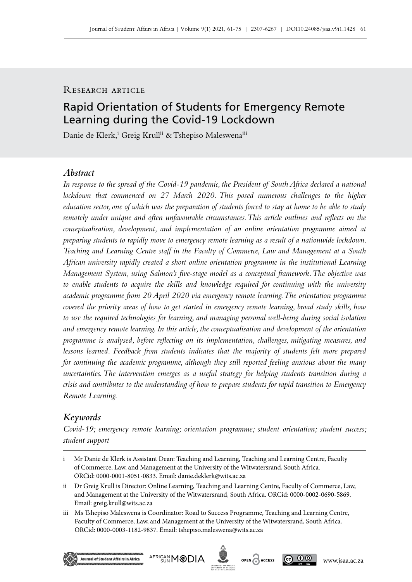# RESEARCH ARTICLE

# Rapid Orientation of Students for Emergency Remote Learning during the Covid‑19 Lockdown

Danie de Klerk,<sup>i</sup> Greig Krull<sup>ii</sup> & Tshepiso Maleswena<sup>iii</sup>

### *Abstract*

*In response to the spread of the Covid‑19 pandemic, the President of South Africa declared a national lockdown that commenced on 27 March 2020. This posed numerous challenges to the higher education sector, one of which was the preparation of students forced to stay at home to be able to study remotely under unique and often unfavourable circumstances. This article outlines and reflects on the conceptualisation, development, and implementation of an online orientation programme aimed at preparing students to rapidly move to emergency remote learning as a result of a nationwide lockdown. Teaching and Learning Centre staff in the Faculty of Commerce, Law and Management at a South African university rapidly created a short online orientation programme in the institutional Learning Management System, using Salmon's five-stage model as a conceptual framework. The objective was to enable students to acquire the skills and knowledge required for continuing with the university academic programme from 20 April 2020 via emergency remote learning. The orientation programme covered the priority areas of how to get started in emergency remote learning, broad study skills, how to use the required technologies for learning, and managing personal well‑being during social isolation and emergency remote learning. In this article, the conceptualisation and development of the orientation programme is analysed, before reflecting on its implementation, challenges, mitigating measures, and lessons learned. Feedback from students indicates that the majority of students felt more prepared for continuing the academic programme, although they still reported feeling anxious about the many uncertainties. The intervention emerges as a useful strategy for helping students transition during a crisis and contributes to the understanding of how to prepare students for rapid transition to Emergency Remote Learning.*

# *Keywords*

*Covid‑19; emergency remote learning; orientation programme; student orientation; student success; student support*

iii Ms Tshepiso Maleswena is Coordinator: Road to Success Programme, Teaching and Learning Centre, Faculty of Commerce, Law, and Management at the University of the Witwatersrand, South Africa. ORCid: 0000-0003-1182-9837. Email: [tshepiso.maleswena@wits.ac.za](mailto:tsepiso.maleswena%40wits.ac.za?subject=)









i Mr Danie de Klerk is Assistant Dean: Teaching and Learning, Teaching and Learning Centre, Faculty of Commerce, Law, and Management at the University of the Witwatersrand, South Africa. ORCid: 0000-0001-8051-0833. Email: [danie.deklerk@wits.ac.za](mailto:danie.deklerk%40wits.ac.za?subject=)

ii Dr Greig Krull is Director: Online Learning, Teaching and Learning Centre, Faculty of Commerce, Law, and Management at the University of the Witwatersrand, South Africa. ORCid: 0000-0002-0690-5869. Email: [greig.krull@wits.ac.za](mailto:greig.krull%40wits.ac.za?subject=)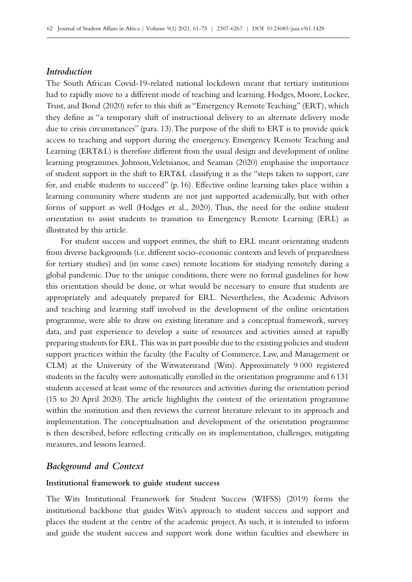# *Introduction*

The South African Covid-19-related national lockdown meant that tertiary institutions had to rapidly move to a different mode of teaching and learning. Hodges, Moore, Lockee, Trust, and Bond (2020) refer to this shift as "Emergency Remote Teaching" (ERT), which they define as "a temporary shift of instructional delivery to an alternate delivery mode due to crisis circumstances" (para. 13). The purpose of the shift to ERT is to provide quick access to teaching and support during the emergency. Emergency Remote Teaching and Learning (ERT&L) is therefore different from the usual design and development of online learning programmes. Johnson, Veletsianos, and Seaman (2020) emphasise the importance of student support in the shift to ERT&L classifying it as the "steps taken to support, care for, and enable students to succeed" (p. 16). Effective online learning takes place within a learning community where students are not just supported academically, but with other forms of support as well (Hodges et al., 2020). Thus, the need for the online student orientation to assist students to transition to Emergency Remote Learning (ERL) as illustrated by this article.

For student success and support entities, the shift to ERL meant orientating students from diverse backgrounds (i.e. different socio-economic contexts and levels of preparedness for tertiary studies) and (in some cases) remote locations for studying remotely during a global pandemic. Due to the unique conditions, there were no formal guidelines for how this orientation should be done, or what would be necessary to ensure that students are appropriately and adequately prepared for ERL. Nevertheless, the Academic Advisors and teaching and learning staff involved in the development of the online orientation programme, were able to draw on existing literature and a conceptual framework, survey data, and past experience to develop a suite of resources and activities aimed at rapidly preparing students for ERL. This was in part possible due to the existing policies and student support practices within the faculty (the Faculty of Commerce, Law, and Management or CLM) at the University of the Witwatersrand (Wits). Approximately 9 000 registered students in the faculty were automatically enrolled in the orientation programme and 6131 students accessed at least some of the resources and activities during the orientation period (15 to 20 April 2020). The article highlights the context of the orientation programme within the institution and then reviews the current literature relevant to its approach and implementation. The conceptualisation and development of the orientation programme is then described, before reflecting critically on its implementation, challenges, mitigating measures, and lessons learned.

# *Background and Context*

### **Institutional framework to guide student success**

The Wits Institutional Framework for Student Success (WIFSS) (2019) forms the institutional backbone that guides Wits's approach to student success and support and places the student at the centre of the academic project. As such, it is intended to inform and guide the student success and support work done within faculties and elsewhere in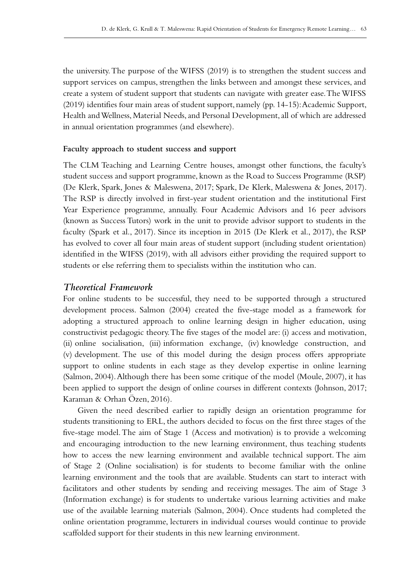the university. The purpose of the WIFSS (2019) is to strengthen the student success and support services on campus, strengthen the links between and amongst these services, and create a system of student support that students can navigate with greater ease. The WIFSS (2019) identifies four main areas of student support, namely (pp. 14-15): Academic Support, Health and Wellness, Material Needs, and Personal Development, all of which are addressed in annual orientation programmes (and elsewhere).

#### **Faculty approach to student success and support**

The CLM Teaching and Learning Centre houses, amongst other functions, the faculty's student success and support programme, known as the Road to Success Programme (RSP) (De Klerk, Spark, Jones & Maleswena, 2017; Spark, De Klerk, Maleswena & Jones, 2017). The RSP is directly involved in first-year student orientation and the institutional First Year Experience programme, annually. Four Academic Advisors and 16 peer advisors (known as Success Tutors) work in the unit to provide advisor support to students in the faculty (Spark et al., 2017). Since its inception in 2015 (De Klerk et al., 2017), the RSP has evolved to cover all four main areas of student support (including student orientation) identified in the WIFSS (2019), with all advisors either providing the required support to students or else referring them to specialists within the institution who can.

# *Theoretical Framework*

For online students to be successful, they need to be supported through a structured development process. Salmon (2004) created the five-stage model as a framework for adopting a structured approach to online learning design in higher education, using constructivist pedagogic theory. The five stages of the model are: (i) access and motivation, (ii) online socialisation, (iii) information exchange, (iv) knowledge construction, and (v) development. The use of this model during the design process offers appropriate support to online students in each stage as they develop expertise in online learning (Salmon, 2004). Although there has been some critique of the model (Moule, 2007), it has been applied to support the design of online courses in different contexts (Johnson, 2017; Karaman & Orhan Özen, 2016).

Given the need described earlier to rapidly design an orientation programme for students transitioning to ERL, the authors decided to focus on the first three stages of the five-stage model. The aim of Stage 1 (Access and motivation) is to provide a welcoming and encouraging introduction to the new learning environment, thus teaching students how to access the new learning environment and available technical support. The aim of Stage 2 (Online socialisation) is for students to become familiar with the online learning environment and the tools that are available. Students can start to interact with facilitators and other students by sending and receiving messages. The aim of Stage 3 (Information exchange) is for students to undertake various learning activities and make use of the available learning materials (Salmon, 2004). Once students had completed the online orientation programme, lecturers in individual courses would continue to provide scaffolded support for their students in this new learning environment.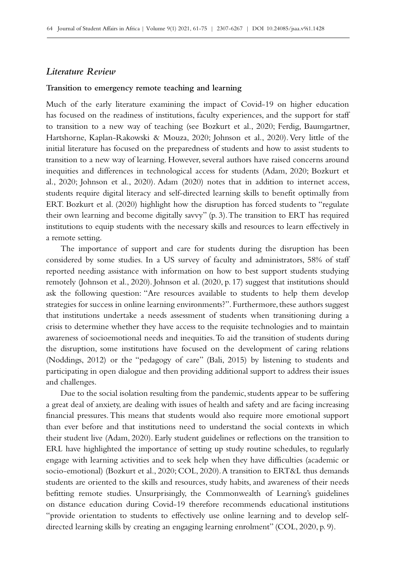### *Literature Review*

#### **Transition to emergency remote teaching and learning**

Much of the early literature examining the impact of Covid-19 on higher education has focused on the readiness of institutions, faculty experiences, and the support for staff to transition to a new way of teaching (see Bozkurt et al., 2020; Ferdig, Baumgartner, Hartshorne, Kaplan-Rakowski & Mouza, 2020; Johnson et al., 2020). Very little of the initial literature has focused on the preparedness of students and how to assist students to transition to a new way of learning. However, several authors have raised concerns around inequities and differences in technological access for students (Adam, 2020; Bozkurt et al., 2020; Johnson et al., 2020). Adam (2020) notes that in addition to internet access, students require digital literacy and self-directed learning skills to benefit optimally from ERT. Bozkurt et al. (2020) highlight how the disruption has forced students to "regulate their own learning and become digitally savvy" (p. 3). The transition to ERT has required institutions to equip students with the necessary skills and resources to learn effectively in a remote setting.

The importance of support and care for students during the disruption has been considered by some studies. In a US survey of faculty and administrators, 58% of staff reported needing assistance with information on how to best support students studying remotely (Johnson et al., 2020). Johnson et al. (2020, p. 17) suggest that institutions should ask the following question: "Are resources available to students to help them develop strategies for success in online learning environments?". Furthermore, these authors suggest that institutions undertake a needs assessment of students when transitioning during a crisis to determine whether they have access to the requisite technologies and to maintain awareness of socioemotional needs and inequities. To aid the transition of students during the disruption, some institutions have focused on the development of caring relations (Noddings, 2012) or the "pedagogy of care" (Bali, 2015) by listening to students and participating in open dialogue and then providing additional support to address their issues and challenges.

Due to the social isolation resulting from the pandemic, students appear to be suffering a great deal of anxiety, are dealing with issues of health and safety and are facing increasing financial pressures. This means that students would also require more emotional support than ever before and that institutions need to understand the social contexts in which their student live (Adam, 2020). Early student guidelines or reflections on the transition to ERL have highlighted the importance of setting up study routine schedules, to regularly engage with learning activities and to seek help when they have difficulties (academic or socio-emotional) (Bozkurt et al., 2020; COL, 2020). A transition to ERT&L thus demands students are oriented to the skills and resources, study habits, and awareness of their needs befitting remote studies. Unsurprisingly, the Commonwealth of Learning's guidelines on distance education during Covid-19 therefore recommends educational institutions "provide orientation to students to effectively use online learning and to develop selfdirected learning skills by creating an engaging learning enrolment" (COL, 2020, p. 9).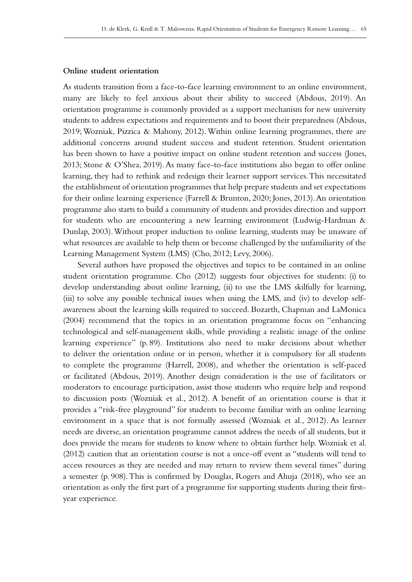### **Online student orientation**

As students transition from a face-to-face learning environment to an online environment, many are likely to feel anxious about their ability to succeed (Abdous, 2019). An orientation programme is commonly provided as a support mechanism for new university students to address expectations and requirements and to boost their preparedness (Abdous, 2019; Wozniak, Pizzica & Mahony, 2012). Within online learning programmes, there are additional concerns around student success and student retention. Student orientation has been shown to have a positive impact on online student retention and success (Jones, 2013; Stone & O'Shea, 2019). As many face-to-face institutions also began to offer online learning, they had to rethink and redesign their learner support services. This necessitated the establishment of orientation programmes that help prepare students and set expectations for their online learning experience (Farrell & Brunton, 2020; Jones, 2013). An orientation programme also starts to build a community of students and provides direction and support for students who are encountering a new learning environment (Ludwig-Hardman & Dunlap, 2003). Without proper induction to online learning, students may be unaware of what resources are available to help them or become challenged by the unfamiliarity of the Learning Management System (LMS) (Cho, 2012; Levy, 2006).

Several authors have proposed the objectives and topics to be contained in an online student orientation programme. Cho (2012) suggests four objectives for students: (i) to develop understanding about online learning, (ii) to use the LMS skilfully for learning, (iii) to solve any possible technical issues when using the LMS, and (iv) to develop selfawareness about the learning skills required to succeed. Bozarth, Chapman and LaMonica (2004) recommend that the topics in an orientation programme focus on "enhancing technological and self-management skills, while providing a realistic image of the online learning experience" (p. 89). Institutions also need to make decisions about whether to deliver the orientation online or in person, whether it is compulsory for all students to complete the programme (Harrell, 2008), and whether the orientation is self-paced or facilitated (Abdous, 2019). Another design consideration is the use of facilitators or moderators to encourage participation, assist those students who require help and respond to discussion posts (Wozniak et al., 2012). A benefit of an orientation course is that it provides a "risk-free playground" for students to become familiar with an online learning environment in a space that is not formally assessed (Wozniak et al., 2012). As learner needs are diverse, an orientation programme cannot address the needs of all students, but it does provide the means for students to know where to obtain further help. Wozniak et al. (2012) caution that an orientation course is not a once-off event as "students will tend to access resources as they are needed and may return to review them several times" during a semester (p. 908). This is confirmed by Douglas, Rogers and Ahuja (2018), who see an orientation as only the first part of a programme for supporting students during their firstyear experience.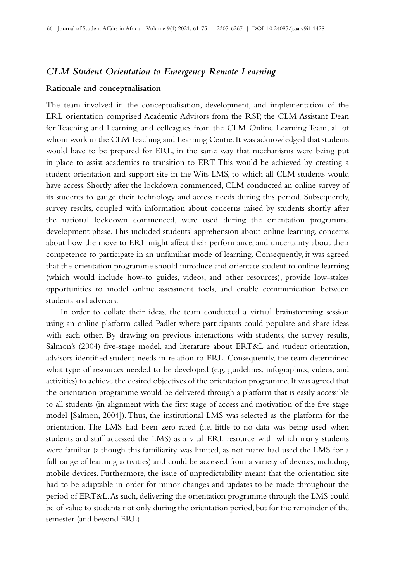### *CLM Student Orientation to Emergency Remote Learning*

#### **Rationale and conceptualisation**

The team involved in the conceptualisation, development, and implementation of the ERL orientation comprised Academic Advisors from the RSP, the CLM Assistant Dean for Teaching and Learning, and colleagues from the CLM Online Learning Team, all of whom work in the CLM Teaching and Learning Centre. It was acknowledged that students would have to be prepared for ERL, in the same way that mechanisms were being put in place to assist academics to transition to ERT. This would be achieved by creating a student orientation and support site in the Wits LMS, to which all CLM students would have access. Shortly after the lockdown commenced, CLM conducted an online survey of its students to gauge their technology and access needs during this period. Subsequently, survey results, coupled with information about concerns raised by students shortly after the national lockdown commenced, were used during the orientation programme development phase. This included students' apprehension about online learning, concerns about how the move to ERL might affect their performance, and uncertainty about their competence to participate in an unfamiliar mode of learning. Consequently, it was agreed that the orientation programme should introduce and orientate student to online learning (which would include how-to guides, videos, and other resources), provide low-stakes opportunities to model online assessment tools, and enable communication between students and advisors.

In order to collate their ideas, the team conducted a virtual brainstorming session using an online platform called Padlet where participants could populate and share ideas with each other. By drawing on previous interactions with students, the survey results, Salmon's (2004) five-stage model, and literature about ERT&L and student orientation, advisors identified student needs in relation to ERL. Consequently, the team determined what type of resources needed to be developed (e.g. guidelines, infographics, videos, and activities) to achieve the desired objectives of the orientation programme. It was agreed that the orientation programme would be delivered through a platform that is easily accessible to all students (in alignment with the first stage of access and motivation of the five-stage model [Salmon, 2004]). Thus, the institutional LMS was selected as the platform for the orientation. The LMS had been zero-rated (i.e. little-to-no-data was being used when students and staff accessed the LMS) as a vital ERL resource with which many students were familiar (although this familiarity was limited, as not many had used the LMS for a full range of learning activities) and could be accessed from a variety of devices, including mobile devices. Furthermore, the issue of unpredictability meant that the orientation site had to be adaptable in order for minor changes and updates to be made throughout the period of ERT&L. As such, delivering the orientation programme through the LMS could be of value to students not only during the orientation period, but for the remainder of the semester (and beyond ERL).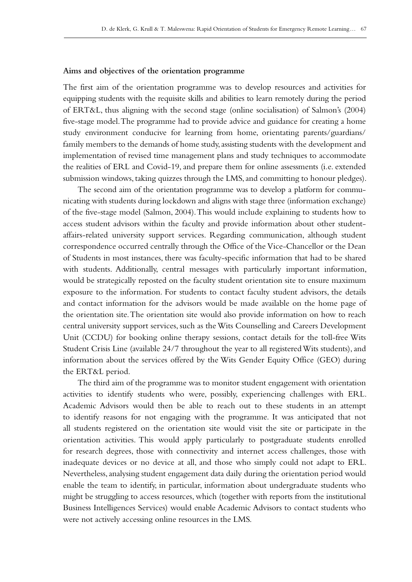#### **Aims and objectives of the orientation programme**

The first aim of the orientation programme was to develop resources and activities for equipping students with the requisite skills and abilities to learn remotely during the period of ERT&L, thus aligning with the second stage (online socialisation) of Salmon's (2004) five-stage model. The programme had to provide advice and guidance for creating a home study environment conducive for learning from home, orientating parents/guardians/ family members to the demands of home study, assisting students with the development and implementation of revised time management plans and study techniques to accommodate the realities of ERL and Covid-19, and prepare them for online assessments (i.e. extended submission windows, taking quizzes through the LMS, and committing to honour pledges).

The second aim of the orientation programme was to develop a platform for communicating with students during lockdown and aligns with stage three (information exchange) of the five-stage model (Salmon, 2004). This would include explaining to students how to access student advisors within the faculty and provide information about other studentaffairs-related university support services. Regarding communication, although student correspondence occurred centrally through the Office of the Vice-Chancellor or the Dean of Students in most instances, there was faculty-specific information that had to be shared with students. Additionally, central messages with particularly important information, would be strategically reposted on the faculty student orientation site to ensure maximum exposure to the information. For students to contact faculty student advisors, the details and contact information for the advisors would be made available on the home page of the orientation site. The orientation site would also provide information on how to reach central university support services, such as the Wits Counselling and Careers Development Unit (CCDU) for booking online therapy sessions, contact details for the toll-free Wits Student Crisis Line (available 24/7 throughout the year to all registered Wits students), and information about the services offered by the Wits Gender Equity Office (GEO) during the ERT&L period.

The third aim of the programme was to monitor student engagement with orientation activities to identify students who were, possibly, experiencing challenges with ERL. Academic Advisors would then be able to reach out to these students in an attempt to identify reasons for not engaging with the programme. It was anticipated that not all students registered on the orientation site would visit the site or participate in the orientation activities. This would apply particularly to postgraduate students enrolled for research degrees, those with connectivity and internet access challenges, those with inadequate devices or no device at all, and those who simply could not adapt to ERL. Nevertheless, analysing student engagement data daily during the orientation period would enable the team to identify, in particular, information about undergraduate students who might be struggling to access resources, which (together with reports from the institutional Business Intelligences Services) would enable Academic Advisors to contact students who were not actively accessing online resources in the LMS.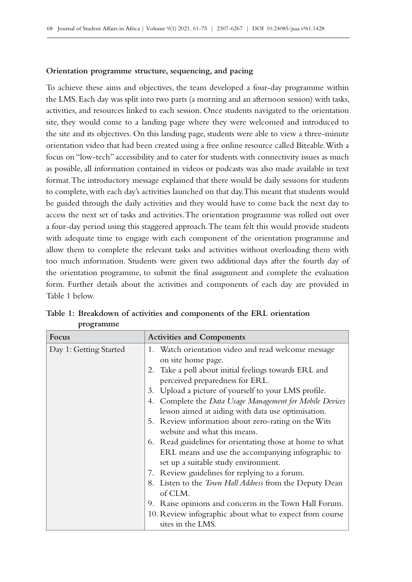#### **Orientation programme structure, sequencing, and pacing**

To achieve these aims and objectives, the team developed a four-day programme within the LMS. Each day was split into two parts (a morning and an afternoon session) with tasks, activities, and resources linked to each session. Once students navigated to the orientation site, they would come to a landing page where they were welcomed and introduced to the site and its objectives. On this landing page, students were able to view a three-minute orientation video that had been created using a free online resource called Biteable. With a focus on "low-tech" accessibility and to cater for students with connectivity issues as much as possible, all information contained in videos or podcasts was also made available in text format. The introductory message explained that there would be daily sessions for students to complete, with each day's activities launched on that day. This meant that students would be guided through the daily activities and they would have to come back the next day to access the next set of tasks and activities. The orientation programme was rolled out over a four-day period using this staggered approach. The team felt this would provide students with adequate time to engage with each component of the orientation programme and allow them to complete the relevant tasks and activities without overloading them with too much information. Students were given two additional days after the fourth day of the orientation programme, to submit the final assignment and complete the evaluation form. Further details about the activities and components of each day are provided in Table 1 below.

| <b>Activities and Components</b>                                                                                                                                                                                                                                                                                                                                                                                                                                                                                                                                                                                                                                                                                                                                                        |
|-----------------------------------------------------------------------------------------------------------------------------------------------------------------------------------------------------------------------------------------------------------------------------------------------------------------------------------------------------------------------------------------------------------------------------------------------------------------------------------------------------------------------------------------------------------------------------------------------------------------------------------------------------------------------------------------------------------------------------------------------------------------------------------------|
| 1. Watch orientation video and read welcome message<br>on site home page.<br>2. Take a poll about initial feelings towards ERL and<br>perceived preparedness for ERL.<br>3. Upload a picture of yourself to your LMS profile.<br>4. Complete the Data Usage Management for Mobile Devices<br>lesson aimed at aiding with data use optimisation.<br>5. Review information about zero-rating on the Wits<br>website and what this means.<br>6. Read guidelines for orientating those at home to what<br>ERL means and use the accompanying infographic to<br>set up a suitable study environment.<br>7. Review guidelines for replying to a forum.<br>8. Listen to the <i>Town Hall Address</i> from the Deputy Dean<br>of CLM.<br>9. Raise opinions and concerns in the Town Hall Forum. |
| 10. Review infographic about what to expect from course<br>sites in the LMS.                                                                                                                                                                                                                                                                                                                                                                                                                                                                                                                                                                                                                                                                                                            |
|                                                                                                                                                                                                                                                                                                                                                                                                                                                                                                                                                                                                                                                                                                                                                                                         |

**Table 1: Breakdown of activities and components of the ERL orientation programme**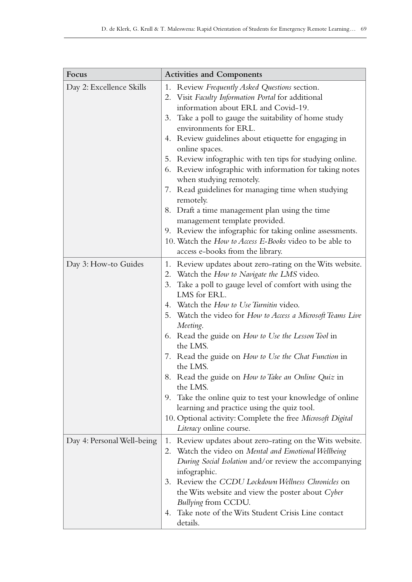| Focus                      | <b>Activities and Components</b>                                                                                                                                                                                                                                                                                                                                                                                                                                                                                                                                                                                                                                                                                                                        |
|----------------------------|---------------------------------------------------------------------------------------------------------------------------------------------------------------------------------------------------------------------------------------------------------------------------------------------------------------------------------------------------------------------------------------------------------------------------------------------------------------------------------------------------------------------------------------------------------------------------------------------------------------------------------------------------------------------------------------------------------------------------------------------------------|
| Day 2: Excellence Skills   | 1. Review Frequently Asked Questions section.<br>2. Visit Faculty Information Portal for additional<br>information about ERL and Covid-19.<br>3. Take a poll to gauge the suitability of home study<br>environments for ERL.<br>4. Review guidelines about etiquette for engaging in<br>online spaces.<br>5. Review infographic with ten tips for studying online.<br>6. Review infographic with information for taking notes<br>when studying remotely.<br>7. Read guidelines for managing time when studying<br>remotely.<br>8. Draft a time management plan using the time<br>management template provided.<br>9. Review the infographic for taking online assessments.<br>10. Watch the How to Access E-Books video to be able to                   |
| Day 3: How-to Guides       | access e-books from the library.<br>1. Review updates about zero-rating on the Wits website.<br>2. Watch the How to Navigate the LMS video.<br>3. Take a poll to gauge level of comfort with using the<br>LMS for ERL.<br>4. Watch the How to Use Turnitin video.<br>5. Watch the video for How to Access a Microsoft Teams Live<br>Meeting.<br>6. Read the guide on How to Use the Lesson Tool in<br>the LMS.<br>7. Read the guide on How to Use the Chat Function in<br>the LMS.<br>8. Read the guide on How to Take an Online Quiz in<br>the LMS.<br>9. Take the online quiz to test your knowledge of online<br>learning and practice using the quiz tool.<br>10. Optional activity: Complete the free Microsoft Digital<br>Literacy online course. |
| Day 4: Personal Well-being | 1. Review updates about zero-rating on the Wits website.<br>2. Watch the video on Mental and Emotional Wellbeing<br>During Social Isolation and/or review the accompanying<br>infographic.<br>3. Review the CCDU Lockdown Wellness Chronicles on<br>the Wits website and view the poster about Cyber<br>Bullying from CCDU.<br>4. Take note of the Wits Student Crisis Line contact<br>details.                                                                                                                                                                                                                                                                                                                                                         |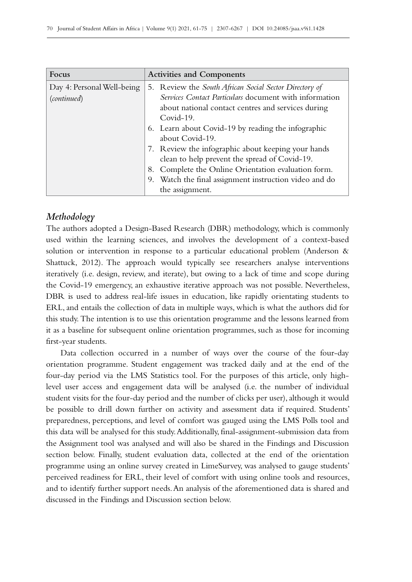| Focus                      | <b>Activities and Components</b>                       |
|----------------------------|--------------------------------------------------------|
| Day 4: Personal Well-being | 5. Review the South African Social Sector Directory of |
| (continued)                | Services Contact Particulars document with information |
|                            | about national contact centres and services during     |
|                            | Covid-19.                                              |
|                            | 6. Learn about Covid-19 by reading the infographic     |
|                            | about Covid-19.                                        |
|                            | 7. Review the infographic about keeping your hands     |
|                            | clean to help prevent the spread of Covid-19.          |
|                            | Complete the Online Orientation evaluation form.<br>8. |
|                            | 9. Watch the final assignment instruction video and do |
|                            | the assignment.                                        |

# *Methodology*

The authors adopted a Design-Based Research (DBR) methodology, which is commonly used within the learning sciences, and involves the development of a context-based solution or intervention in response to a particular educational problem (Anderson & Shattuck, 2012). The approach would typically see researchers analyse interventions iteratively (i.e. design, review, and iterate), but owing to a lack of time and scope during the Covid‑19 emergency, an exhaustive iterative approach was not possible. Nevertheless, DBR is used to address real-life issues in education, like rapidly orientating students to ERL, and entails the collection of data in multiple ways, which is what the authors did for this study. The intention is to use this orientation programme and the lessons learned from it as a baseline for subsequent online orientation programmes, such as those for incoming first-year students.

Data collection occurred in a number of ways over the course of the four-day orientation programme. Student engagement was tracked daily and at the end of the four-day period via the LMS Statistics tool. For the purposes of this article, only highlevel user access and engagement data will be analysed (i.e. the number of individual student visits for the four-day period and the number of clicks per user), although it would be possible to drill down further on activity and assessment data if required. Students' preparedness, perceptions, and level of comfort was gauged using the LMS Polls tool and this data will be analysed for this study. Additionally, final-assignment-submission data from the Assignment tool was analysed and will also be shared in the Findings and Discussion section below. Finally, student evaluation data, collected at the end of the orientation programme using an online survey created in LimeSurvey, was analysed to gauge students' perceived readiness for ERL, their level of comfort with using online tools and resources, and to identify further support needs. An analysis of the aforementioned data is shared and discussed in the Findings and Discussion section below.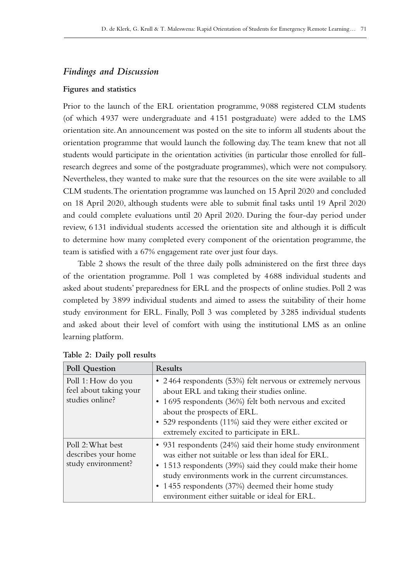# *Findings and Discussion*

#### **Figures and statistics**

Prior to the launch of the ERL orientation programme, 9088 registered CLM students (of which 4937 were undergraduate and 4151 postgraduate) were added to the LMS orientation site. An announcement was posted on the site to inform all students about the orientation programme that would launch the following day. The team knew that not all students would participate in the orientation activities (in particular those enrolled for fullresearch degrees and some of the postgraduate programmes), which were not compulsory. Nevertheless, they wanted to make sure that the resources on the site were available to all CLM students. The orientation programme was launched on 15 April 2020 and concluded on 18 April 2020, although students were able to submit final tasks until 19 April 2020 and could complete evaluations until 20 April 2020. During the four-day period under review, 6131 individual students accessed the orientation site and although it is difficult to determine how many completed every component of the orientation programme, the team is satisfied with a 67% engagement rate over just four days.

Table 2 shows the result of the three daily polls administered on the first three days of the orientation programme. Poll 1 was completed by 4688 individual students and asked about students' preparedness for ERL and the prospects of online studies. Poll 2 was completed by 3899 individual students and aimed to assess the suitability of their home study environment for ERL. Finally, Poll 3 was completed by 3285 individual students and asked about their level of comfort with using the institutional LMS as an online learning platform.

| Poll Question                                                   | Results                                                                                                                                                                                                                                                                                                                                    |
|-----------------------------------------------------------------|--------------------------------------------------------------------------------------------------------------------------------------------------------------------------------------------------------------------------------------------------------------------------------------------------------------------------------------------|
| Poll 1: How do you<br>feel about taking your<br>studies online? | • 2464 respondents (53%) felt nervous or extremely nervous<br>about ERL and taking their studies online.<br>• 1695 respondents (36%) felt both nervous and excited<br>about the prospects of ERL.<br>• 529 respondents (11%) said they were either excited or<br>extremely excited to participate in ERL.                                  |
| Poll 2: What best<br>describes your home<br>study environment?  | • 931 respondents (24%) said their home study environment<br>was either not suitable or less than ideal for ERL.<br>• 1513 respondents (39%) said they could make their home<br>study environments work in the current circumstances.<br>• 1455 respondents (37%) deemed their home study<br>environment either suitable or ideal for ERL. |

**Table 2: Daily poll results**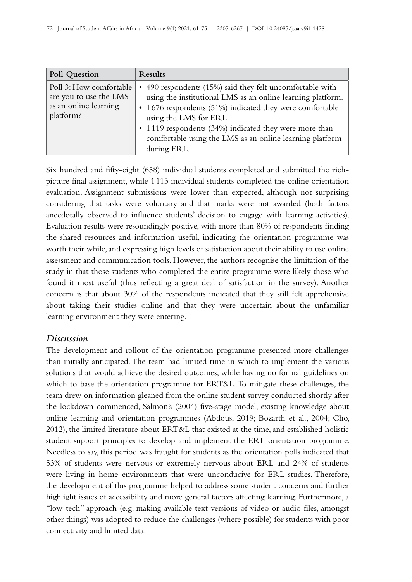| Poll Question                                                                           | Results                                                                                                                                                                                                                                                                                                                                             |
|-----------------------------------------------------------------------------------------|-----------------------------------------------------------------------------------------------------------------------------------------------------------------------------------------------------------------------------------------------------------------------------------------------------------------------------------------------------|
| Poll 3: How comfortable<br>are you to use the LMS<br>as an online learning<br>platform? | • 490 respondents (15%) said they felt uncomfortable with<br>using the institutional LMS as an online learning platform.<br>• 1676 respondents (51%) indicated they were comfortable<br>using the LMS for ERL.<br>• 1119 respondents (34%) indicated they were more than<br>comfortable using the LMS as an online learning platform<br>during ERL. |

Six hundred and fifty-eight (658) individual students completed and submitted the richpicture final assignment, while 1113 individual students completed the online orientation evaluation. Assignment submissions were lower than expected, although not surprising considering that tasks were voluntary and that marks were not awarded (both factors anecdotally observed to influence students' decision to engage with learning activities). Evaluation results were resoundingly positive, with more than 80% of respondents finding the shared resources and information useful, indicating the orientation programme was worth their while, and expressing high levels of satisfaction about their ability to use online assessment and communication tools. However, the authors recognise the limitation of the study in that those students who completed the entire programme were likely those who found it most useful (thus reflecting a great deal of satisfaction in the survey). Another concern is that about 30% of the respondents indicated that they still felt apprehensive about taking their studies online and that they were uncertain about the unfamiliar learning environment they were entering.

# *Discussion*

The development and rollout of the orientation programme presented more challenges than initially anticipated. The team had limited time in which to implement the various solutions that would achieve the desired outcomes, while having no formal guidelines on which to base the orientation programme for ERT&L. To mitigate these challenges, the team drew on information gleaned from the online student survey conducted shortly after the lockdown commenced, Salmon's (2004) five-stage model, existing knowledge about online learning and orientation programmes (Abdous, 2019; Bozarth et al., 2004; Cho, 2012), the limited literature about ERT&L that existed at the time, and established holistic student support principles to develop and implement the ERL orientation programme. Needless to say, this period was fraught for students as the orientation polls indicated that 53% of students were nervous or extremely nervous about ERL and 24% of students were living in home environments that were unconducive for ERL studies. Therefore, the development of this programme helped to address some student concerns and further highlight issues of accessibility and more general factors affecting learning. Furthermore, a "low-tech" approach (e.g. making available text versions of video or audio files, amongst other things) was adopted to reduce the challenges (where possible) for students with poor connectivity and limited data.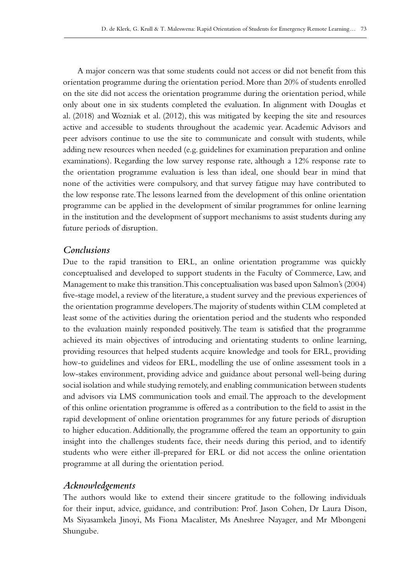A major concern was that some students could not access or did not benefit from this orientation programme during the orientation period. More than 20% of students enrolled on the site did not access the orientation programme during the orientation period, while only about one in six students completed the evaluation. In alignment with Douglas et al. (2018) and Wozniak et al. (2012), this was mitigated by keeping the site and resources active and accessible to students throughout the academic year. Academic Advisors and peer advisors continue to use the site to communicate and consult with students, while adding new resources when needed (e.g. guidelines for examination preparation and online examinations). Regarding the low survey response rate, although a 12% response rate to the orientation programme evaluation is less than ideal, one should bear in mind that none of the activities were compulsory, and that survey fatigue may have contributed to the low response rate. The lessons learned from the development of this online orientation programme can be applied in the development of similar programmes for online learning in the institution and the development of support mechanisms to assist students during any future periods of disruption.

### *Conclusions*

Due to the rapid transition to ERL, an online orientation programme was quickly conceptualised and developed to support students in the Faculty of Commerce, Law, and Management to make this transition. This conceptualisation was based upon Salmon's (2004) five-stage model, a review of the literature, a student survey and the previous experiences of the orientation programme developers. The majority of students within CLM completed at least some of the activities during the orientation period and the students who responded to the evaluation mainly responded positively. The team is satisfied that the programme achieved its main objectives of introducing and orientating students to online learning, providing resources that helped students acquire knowledge and tools for ERL, providing how-to guidelines and videos for ERL, modelling the use of online assessment tools in a low-stakes environment, providing advice and guidance about personal well-being during social isolation and while studying remotely, and enabling communication between students and advisors via LMS communication tools and email. The approach to the development of this online orientation programme is offered as a contribution to the field to assist in the rapid development of online orientation programmes for any future periods of disruption to higher education. Additionally, the programme offered the team an opportunity to gain insight into the challenges students face, their needs during this period, and to identify students who were either ill-prepared for ERL or did not access the online orientation programme at all during the orientation period.

### *Acknowledgements*

The authors would like to extend their sincere gratitude to the following individuals for their input, advice, guidance, and contribution: Prof. Jason Cohen, Dr Laura Dison, Ms Siyasamkela Jinoyi, Ms Fiona Macalister, Ms Aneshree Nayager, and Mr Mbongeni Shungube.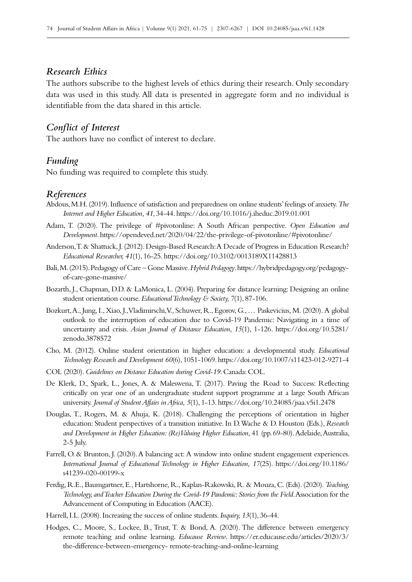# *Research Ethics*

The authors subscribe to the highest levels of ethics during their research. Only secondary data was used in this study. All data is presented in aggregate form and no individual is identifiable from the data shared in this article.

# *Conflict of Interest*

The authors have no conflict of interest to declare.

### *Funding*

No funding was required to complete this study.

### *References*

- Abdous, M.H. (2019). Influence of satisfaction and preparedness on online students' feelings of anxiety. *The Internet and Higher Education, 41*, 34‑44.<https://doi.org/10.1016/j.iheduc.2019.01.001>
- Adam, T. (2020). The privilege of #pivotonline: A South African perspective. *Open Education and Development*.<https://opendeved.net/2020/04/22/the-privilege-of-pivotonline/#pivotonline/>
- Anderson, T. & Shattuck, J. (2012). Design-Based Research: A Decade of Progress in Education Research? *Educational Researcher, 41*(1), 16‑25.<https://doi.org/10.3102/0013189X11428813>
- Bali, M. (2015). Pedagogy of Care Gone Massive. *Hybrid Pedagogy*. [https://hybridpedagogy.org/pedagogy](https://hybridpedagogy.org/pedagogy-of-care-gone-massive/)[of-care-gone-massive/](https://hybridpedagogy.org/pedagogy-of-care-gone-massive/)
- Bozarth, J., Chapman, D.D. & LaMonica, L. (2004). Preparing for distance learning: Designing an online student orientation course. *Educational Technology & Society*, 7(1), 87-106.
- Bozkurt, A., Jung, I., Xiao, J., Vladimirschi, V., Schuwer, R., Egorov, G., … Paskevicius, M. (2020). A global outlook to the interruption of education due to Covid‑19 Pandemic: Navigating in a time of uncertainty and crisis. *Asian Journal of Distance Education*, *15*(1), 1‑126. [https://doi.org/10.5281/](https://doi.org/10.5281/zenodo.3878572) [zenodo.3878572](https://doi.org/10.5281/zenodo.3878572)
- Cho, M. (2012). Online student orientation in higher education: a developmental study. *Educational Technology Research and Development 60*(6), 1051‑1069.<https://doi.org/10.1007/s11423-012-9271-4>
- COL (2020). *Guidelines on Distance Education during Covid‑19*. Canada: COL.
- De Klerk, D., Spark, L., Jones, A. & Maleswena, T. (2017). Paving the Road to Success: Reflecting critically on year one of an undergraduate student support programme at a large South African university. *Journal of Student Affairs in Africa*, *5*(1), 1‑13.<https://doi.org/10.24085/jsaa.v5i1.2478>
- Douglas, T., Rogers, M. & Ahuja, K. (2018). Challenging the perceptions of orientation in higher education: Student perspectives of a transition initiative. In D. Wache & D. Houston (Eds.), *Research and Development in Higher Education: (Re)Valuing Higher Education*, 41 (pp.69‑80). Adelaide, Australia, 2‑5 July.
- Farrell, O. & Brunton, J. (2020). A balancing act: A window into online student engagement experiences. *International Journal of Educational Technology in Higher Education, 17*(25). [https://doi.org/10.1186/](https://doi.org/10.1186/s41239-020-00199-x) [s41239-020-00199-x](https://doi.org/10.1186/s41239-020-00199-x)
- Ferdig, R.E., Baumgartner, E., Hartshorne, R., Kaplan-Rakowski, R. & Mouza, C. (Eds). (2020). *Teaching, Technology, and Teacher Education During the Covid‑19 Pandemic: Stories from the Field*. Association for the Advancement of Computing in Education (AACE).
- Harrell, I.L. (2008). Increasing the success of online students. *Inquiry*, 13(1), 36-44.
- Hodges, C., Moore, S., Lockee, B., Trust, T. & Bond, A. (2020). The difference between emergency remote teaching and online learning. *Educause Review*. [https://er.educause.edu/articles/2020/3/](https://er.educause.edu/articles/2020/3/the-difference-between-emergency- remote-teaching-and-online) [the-difference-between-emergency- remote-teaching-and-online-learning](https://er.educause.edu/articles/2020/3/the-difference-between-emergency- remote-teaching-and-online)